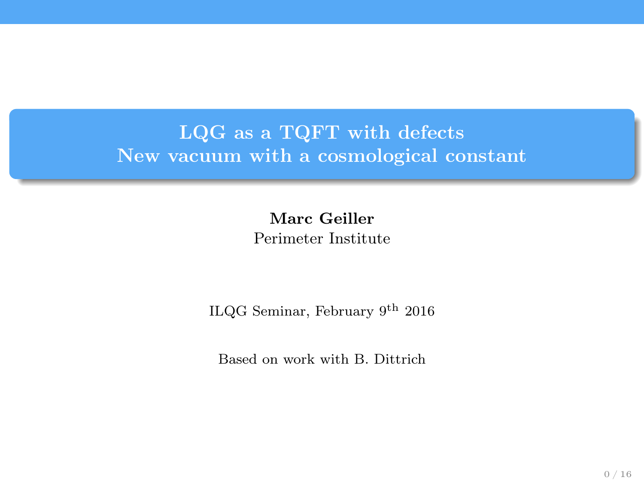# LQG as a TQFT with defects New vacuum with a cosmological constant

Marc Geiller Perimeter Institute

ILQG Seminar, February 9<sup>th</sup> 2016

Based on work with B. Dittrich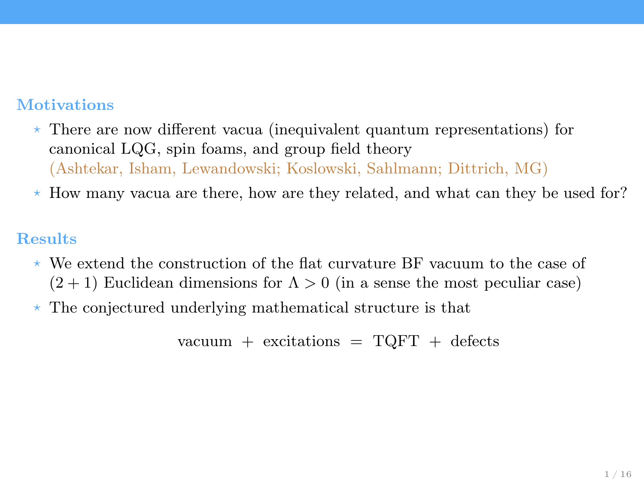### Motivations

- $\star$  There are now different vacua (inequivalent quantum representations) for canonical LQG, spin foams, and group field theory (Ashtekar, Isham, Lewandowski; Koslowski, Sahlmann; Dittrich, MG)
- $*$  How many vacua are there, how are they related, and what can they be used for?

#### Results

- $\star$  We extend the construction of the flat curvature BF vacuum to the case of  $(2 + 1)$  Euclidean dimensions for  $\Lambda > 0$  (in a sense the most peculiar case)
- $\star$  The conjectured underlying mathematical structure is that

vacuum + excitations =  $TQFT$  + defects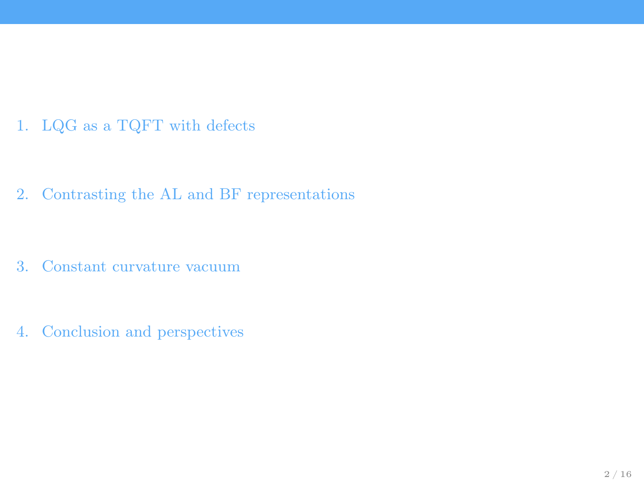1. [LQG as a TQFT with defects](#page-3-0)

2. [Contrasting the AL and BF representations](#page-6-0)

3. [Constant curvature vacuum](#page-9-0)

4. [Conclusion and perspectives](#page-19-0)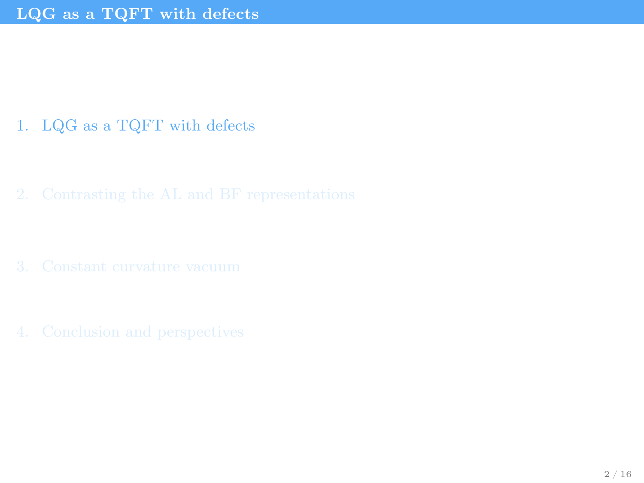# <span id="page-3-0"></span>1. [LQG as a TQFT with defects](#page-3-0)

- 
-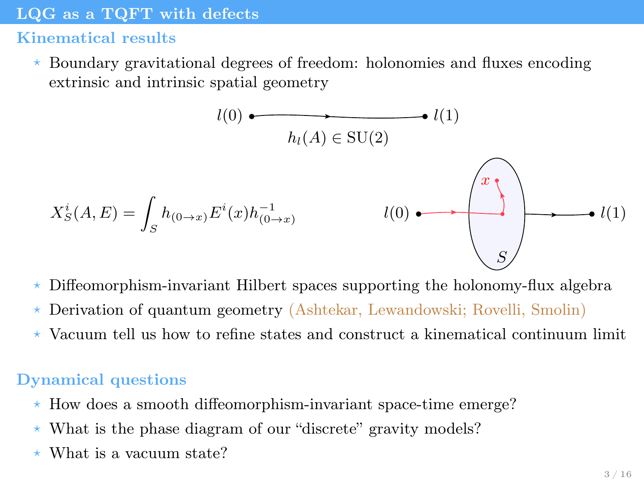#### <span id="page-4-0"></span>[LQG as a TQFT with defects](#page-4-0)

## Kinematical results

 $\star$  Boundary gravitational degrees of freedom: holonomies and fluxes encoding extrinsic and intrinsic spatial geometry

$$
l(0) \longrightarrow l(1)
$$
\n
$$
h_l(A) \in \text{SU}(2)
$$
\n
$$
X_S^i(A, E) = \int_S h_{(0 \to x)} E^i(x) h_{(0 \to x)}^{-1}
$$
\n
$$
l(0) \longrightarrow l(1)
$$
\n
$$
S
$$

- $\star$  Diffeomorphism-invariant Hilbert spaces supporting the holonomy-flux algebra
- ? Derivation of quantum geometry (Ashtekar, Lewandowski; Rovelli, Smolin)
- $\star$  Vacuum tell us how to refine states and construct a kinematical continuum limit

## Dynamical questions

- ? How does a smooth diffeomorphism-invariant space-time emerge?
- $\star$  What is the phase diagram of our "discrete" gravity models?
- $\star$  What is a vacuum state?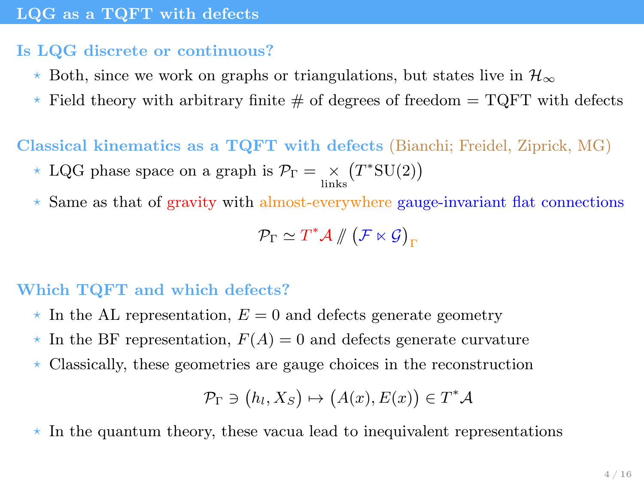## <span id="page-5-0"></span>Is LQG discrete or continuous?

- $\star$  Both, since we work on graphs or triangulations, but states live in  $\mathcal{H}_{\infty}$
- $\star$  Field theory with arbitrary finite # of degrees of freedom = TQFT with defects

Classical kinematics as a TQFT with defects (Bianchi; Freidel, Ziprick, MG)

- \* LQG phase space on a graph is  $\mathcal{P}_{\Gamma} = \underset{\text{links}}{\times} (T^* \text{SU}(2))$
- $\star$  Same as that of gravity with almost-everywhere gauge-invariant flat connections

$$
\mathcal{P}_{\Gamma} \simeq T^* \mathcal{A} \mathbin{\#} \bigl(\mathcal{F} \ltimes \mathcal{G}\bigr)_{\Gamma}
$$

## Which TQFT and which defects?

- $\star$  In the AL representation,  $E = 0$  and defects generate geometry
- $\star$  In the BF representation,  $F(A) = 0$  and defects generate curvature
- $\star$  Classically, these geometries are gauge choices in the reconstruction

$$
\mathcal{P}_{\Gamma} \ni (h_l, X_S) \mapsto (A(x), E(x)) \in T^* \mathcal{A}
$$

 $\star$  In the quantum theory, these vacua lead to inequivalent representations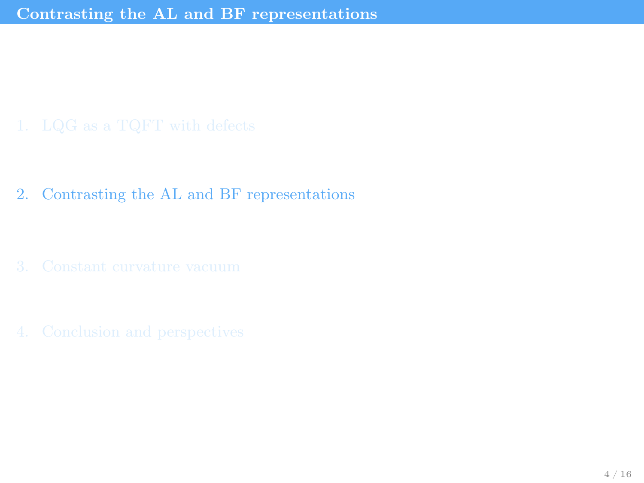<span id="page-6-0"></span>2. [Contrasting the AL and BF representations](#page-6-0)

- 
-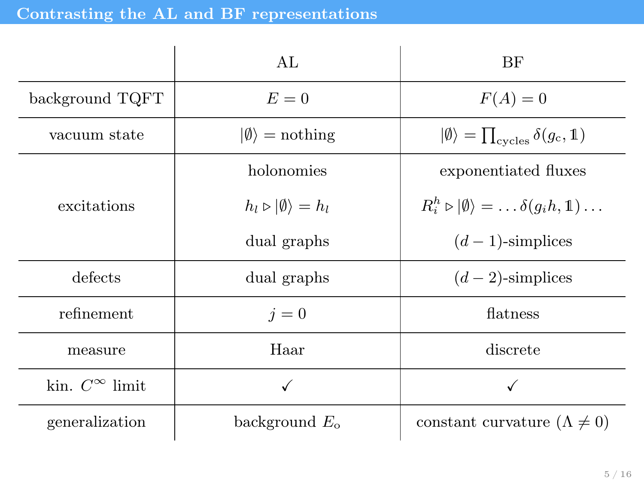<span id="page-7-0"></span>

|                          | AL.                                          | BF                                                                        |
|--------------------------|----------------------------------------------|---------------------------------------------------------------------------|
| background TQFT          | $E=0$                                        | $F(A)=0$                                                                  |
| vacuum state             | $ \emptyset\rangle$ = nothing                | $ \emptyset\rangle = \prod_{\text{cycles}} \delta(g_c, 1)$                |
|                          | holonomies                                   | exponentiated fluxes                                                      |
| excitations              | $h_l \triangleright  \emptyset\rangle = h_l$ | $R_i^h \triangleright  \emptyset\rangle = \ldots \delta(q_i h, 1) \ldots$ |
|                          | dual graphs                                  | $(d-1)$ -simplices                                                        |
| defects                  | dual graphs                                  | $(d-2)$ -simplices                                                        |
| refinement               | $i=0$                                        | flatness                                                                  |
| measure                  | Haar                                         | discrete                                                                  |
| kin. $C^{\infty}$ limit. | √                                            | √                                                                         |
| generalization           | background $E_{o}$                           | constant curvature $(\Lambda \neq 0)$                                     |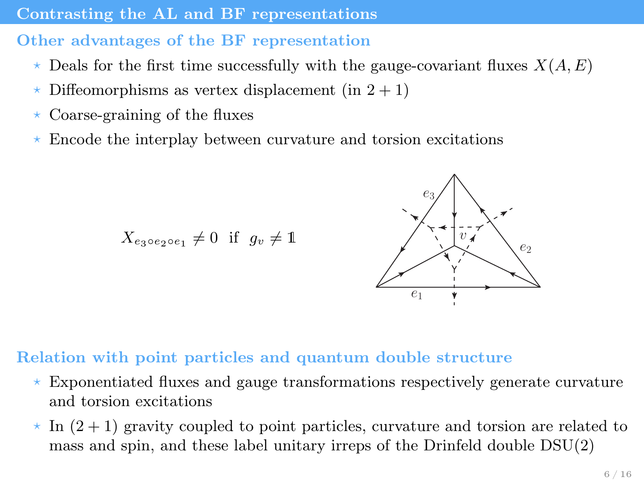#### <span id="page-8-0"></span>[Contrasting the AL and BF representations](#page-8-0)

## Other advantages of the BF representation

- $\star$  Deals for the first time successfully with the gauge-covariant fluxes  $X(A, E)$
- $\star$  Diffeomorphisms as vertex displacement (in 2 + 1)
- $\star$  Coarse-graining of the fluxes
- ? Encode the interplay between curvature and torsion excitations

 $X_{e_3 \circ e_2 \circ e_1} \neq 0$  if  $g_v \neq 1$ 



## Relation with point particles and quantum double structure

- $\star$  Exponentiated fluxes and gauge transformations respectively generate curvature and torsion excitations
- $\star$  In  $(2+1)$  gravity coupled to point particles, curvature and torsion are related to mass and spin, and these label unitary irreps of the Drinfeld double DSU(2)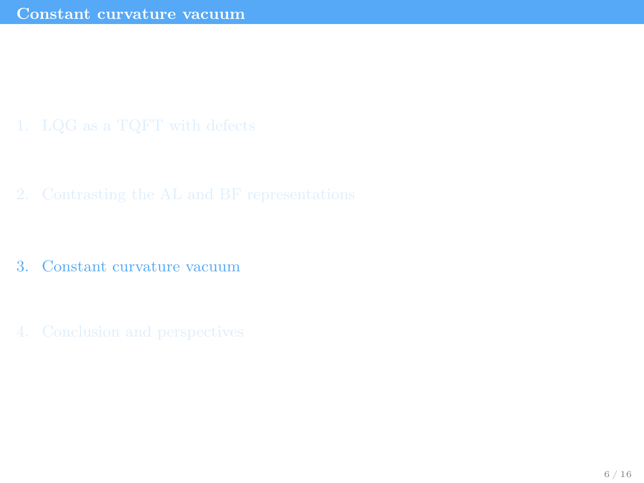<span id="page-9-0"></span>

- 3. [Constant curvature vacuum](#page-9-0)
-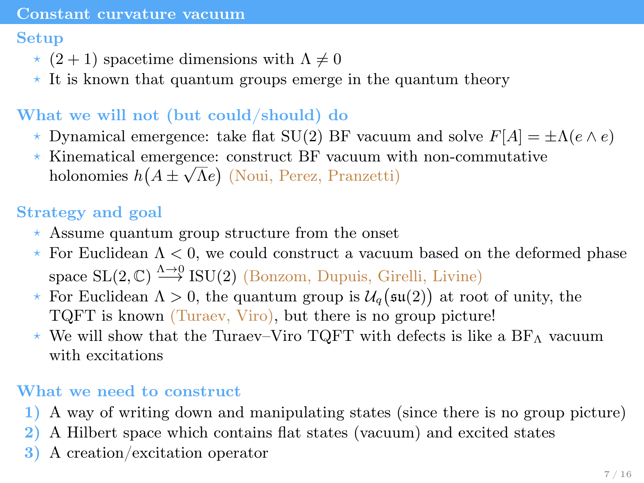#### <span id="page-10-0"></span>[Constant curvature vacuum](#page-10-0)

### Setup

- $\star$  (2 + 1) spacetime dimensions with  $\Lambda \neq 0$
- $\star$  It is known that quantum groups emerge in the quantum theory

## What we will not (but could/should) do

- $\star$  Dynamical emergence: take flat SU(2) BF vacuum and solve  $F[A] = \pm \Lambda(e \wedge e)$
- ? Kinematical emergence: construct BF vacuum with non-commutative √ holonomies  $h(A \pm \sqrt{\Lambda}e)$  (Noui, Perez, Pranzetti)

## Strategy and goal

- $\star$  Assume quantum group structure from the onset
- $\star$  For Euclidean  $\Lambda < 0$ , we could construct a vacuum based on the deformed phase space  $SL(2, \mathbb{C}) \stackrel{\Lambda \to 0}{\longrightarrow} ISU(2)$  (Bonzom, Dupuis, Girelli, Livine)
- $\star$  For Euclidean  $\Lambda > 0$ , the quantum group is  $\mathcal{U}_q(\mathfrak{su}(2))$  at root of unity, the TQFT is known (Turaev, Viro), but there is no group picture!
- $\star$  We will show that the Turaev–Viro TQFT with defects is like a BF<sub>A</sub> vacuum with excitations

## What we need to construct

- 1) A way of writing down and manipulating states (since there is no group picture)
- 2) A Hilbert space which contains flat states (vacuum) and excited states
- 3) A creation/excitation operator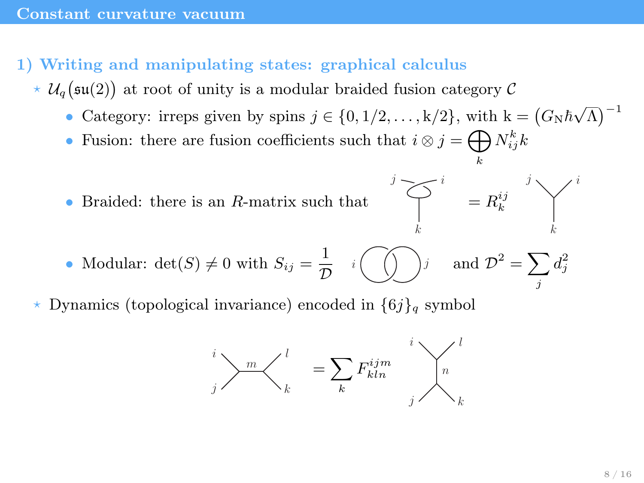- <span id="page-11-0"></span>1) Writing and manipulating states: graphical calculus
	- $\star$   $\mathcal{U}_q(\mathfrak{su}(2))$  at root of unity is a modular braided fusion category  $\mathcal{C}$ 
		- Category: irreps given by spins  $j \in \{0, 1/2, ..., k/2\}$ , with  $k = (G_N \hbar \sqrt{\Lambda})^{-1}$
		- Fusion: there are fusion coefficients such that  $i \otimes j = \bigoplus N_{ij}^k k$
		- Braided: there is an R-matrix such that



k

• Modular: 
$$
\det(S) \neq 0
$$
 with  $S_{ij} = \frac{1}{\mathcal{D}} \quad i \quad \text{and} \quad \mathcal{D}^2 = \sum_j d_j^2$ 

Dynamics (topological invariance) encoded in  $\{6j\}_q$  symbol

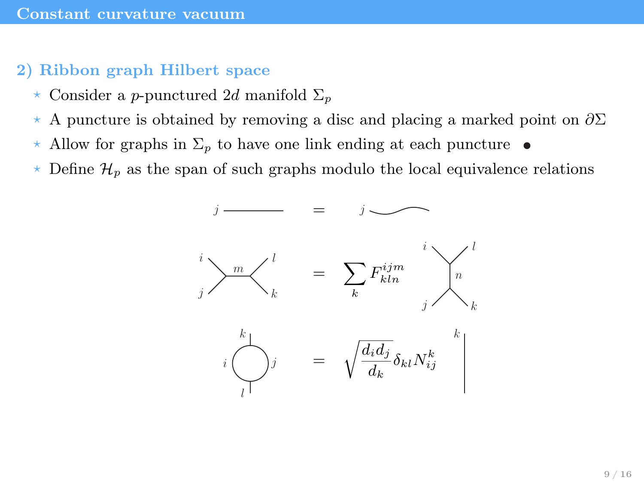#### <span id="page-12-0"></span>2) Ribbon graph Hilbert space

- $\star$  Consider a p-punctured 2d manifold  $\Sigma_p$
- $\star$  A puncture is obtained by removing a disc and placing a marked point on  $\partial \Sigma$
- $\star$  Allow for graphs in  $\Sigma_p$  to have one link ending at each puncture  $\bullet$
- $\star$  Define  $\mathcal{H}_p$  as the span of such graphs modulo the local equivalence relations

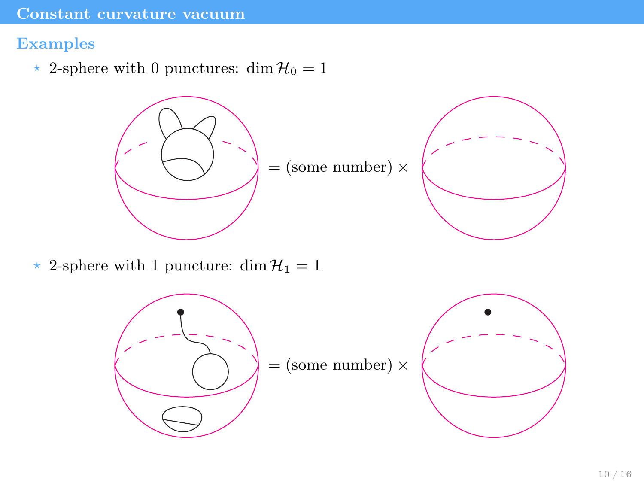#### <span id="page-13-0"></span>Examples

 $\star$  2-sphere with 0 punctures: dim  $\mathcal{H}_0 = 1$ 





\* 2-sphere with 1 puncture: dim  $\mathcal{H}_1 = 1$ 

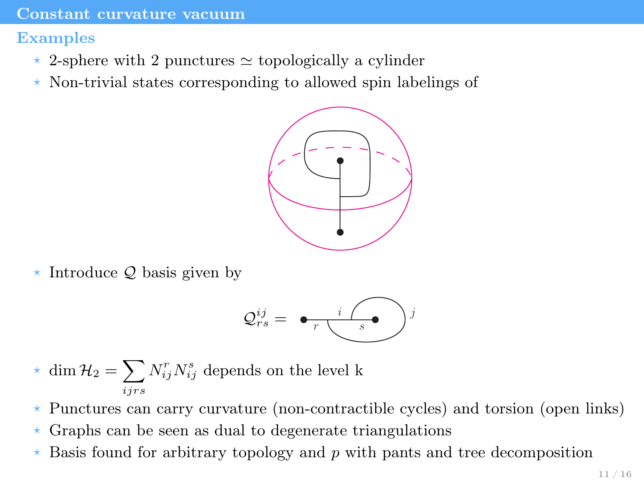<span id="page-14-0"></span>Examples

- $\star$  2-sphere with 2 punctures  $\simeq$  topologically a cylinder
- $\star$  Non-trivial states corresponding to allowed spin labelings of



 $\star$  Introduce Q basis given by

$$
\mathcal{Q}_{rs}^{ij} = \bigoplus_{r} \underbrace{\qquad \qquad i \bigotimes_{s} j}
$$

- $\star$  dim  $\mathcal{H}_2 = \sum$ ijrs  $N_{ij}^r N_{ij}^s$  depends on the level k
- ? Punctures can carry curvature (non-contractible cycles) and torsion (open links)
- $\star$  Graphs can be seen as dual to degenerate triangulations
- $\star$  Basis found for arbitrary topology and p with pants and tree decomposition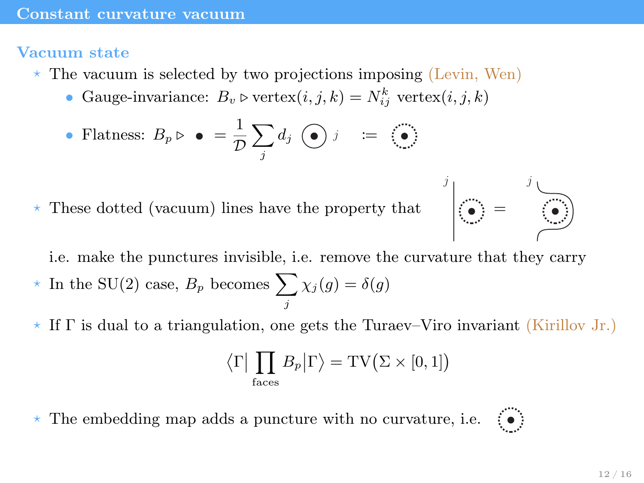#### <span id="page-15-0"></span>Vacuum state

- $\star$  The vacuum is selected by two projections imposing (Levin, Wen)
	- Gauge-invariance:  $B_v \triangleright \text{vertex}(i, j, k) = N_{ij}^k \text{ vertex}(i, j, k)$

• Flatness: 
$$
B_p \triangleright \bullet = \frac{1}{\mathcal{D}} \sum_j d_j \odot j = \odot
$$

 $\star$  These dotted (vacuum) lines have the property that



i.e. make the punctures invisible, i.e. remove the curvature that they carry

- $\star$  In the SU(2) case,  $B_p$  becomes  $\sum$ j  $\chi_j(g)=\delta(g)$
- $\star$  If  $\Gamma$  is dual to a triangulation, one gets the Turaev–Viro invariant (Kirillov Jr.)

$$
\langle \Gamma | \prod_{\text{faces}} B_p | \Gamma \rangle = \text{TV}(\Sigma \times [0, 1])
$$

The embedding map adds a puncture with no curvature, i.e.  $\langle \bullet \rangle$ 

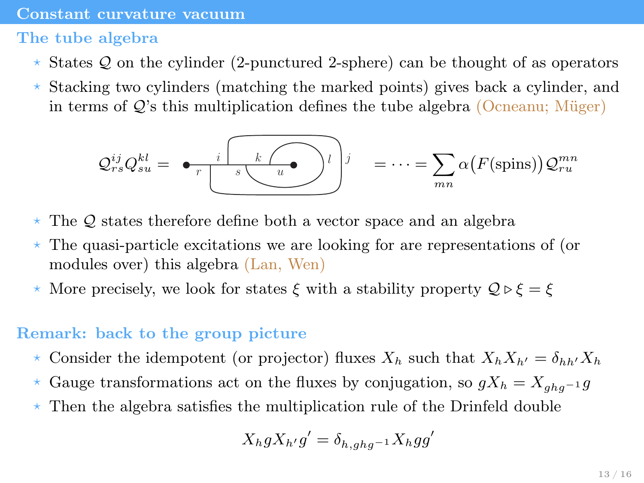#### <span id="page-16-0"></span>The tube algebra

- $\star$  States Q on the cylinder (2-punctured 2-sphere) can be thought of as operators
- $*$  Stacking two cylinders (matching the marked points) gives back a cylinder, and in terms of  $Q$ 's this multiplication defines the tube algebra (Ocneanu; Müger)

$$
\mathcal{Q}_{rs}^{ij} \mathcal{Q}_{su}^{kl} = \bigoplus_{r} \underbrace{i \bigotimes_{s} \underbrace{\mathcal{Q}_{u}^{kl}}_{\text{max}} \bigg)^j} = \cdots = \sum_{mn} \alpha \big( F(\text{spins}) \big) \mathcal{Q}_{ru}^{mn}
$$

- $\star$  The Q states therefore define both a vector space and an algebra
- $\star$  The quasi-particle excitations we are looking for are representations of (or modules over) this algebra (Lan, Wen)
- \* More precisely, we look for states  $\xi$  with a stability property  $\mathcal{Q} \triangleright \xi = \xi$

#### Remark: back to the group picture

- $\star$  Consider the idempotent (or projector) fluxes  $X_h$  such that  $X_hX_{h'} = \delta_{hh'}X_h$
- $\star$  Gauge transformations act on the fluxes by conjugation, so  $gX_h = X_{ghq-1}g$
- $\star$  Then the algebra satisfies the multiplication rule of the Drinfeld double

$$
X_h g X_{h'} g' = \delta_{h, ghg^{-1}} X_h g g'
$$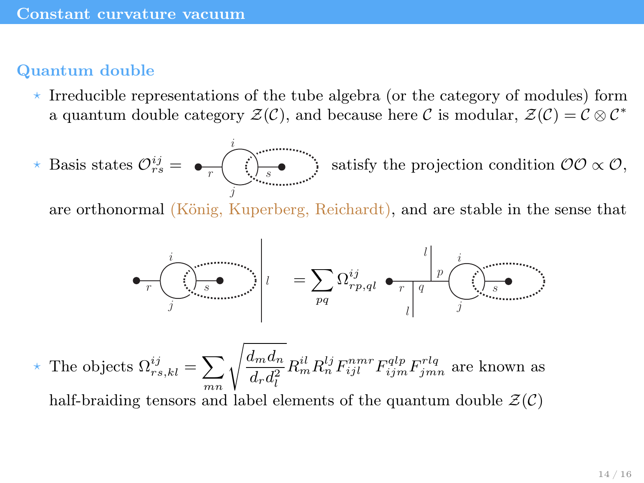### <span id="page-17-0"></span>Quantum double

 $\star$  Irreducible representations of the tube algebra (or the category of modules) form a quantum double category  $\mathcal{Z}(\mathcal{C})$ , and because here C is modular,  $\mathcal{Z}(\mathcal{C}) = \mathcal{C} \otimes \mathcal{C}^*$ 

$$
\star \text{ Basis states } \mathcal{O}_{rs}^{ij} = \bigoplus_{\tau \text{ using } s \text{ with } \tau \text{ } \text{ } s}
$$
 satisfy the projection condition  $\mathcal{O}\mathcal{O} \propto \mathcal{O}$ ,

are orthonormal (König, Kuperberg, Reichardt), and are stable in the sense that

$$
\begin{array}{c}\n\bullet \quad r \quad \bullet \quad \bullet \\
\hline\n\end{array}\n\qquad \qquad \bullet \quad \begin{array}{c}\n\bullet \\
\bullet \\
\bullet \\
\end{array}\n\qquad \qquad \bullet \quad \begin{array}{c}\n\bullet \\
\bullet \\
\end{array}\n\qquad \qquad \bullet \quad \begin{array}{c}\n\bullet \\
\bullet \\
\end{array}\n\qquad \qquad \bullet \quad \begin{array}{c}\n\bullet \\
\bullet \\
\end{array}\n\qquad \qquad \bullet \quad \begin{array}{c}\n\bullet \\
\bullet \\
\end{array}\n\qquad \qquad \bullet \quad \begin{array}{c}\n\bullet \\
\bullet \\
\end{array}\n\qquad \qquad \bullet \quad \begin{array}{c}\n\bullet \\
\bullet \\
\end{array}\n\qquad \qquad \bullet \quad \begin{array}{c}\n\bullet \\
\bullet \\
\end{array}\n\qquad \qquad \bullet \quad \begin{array}{c}\n\bullet \\
\bullet \\
\end{array}\n\qquad \qquad \bullet \quad \begin{array}{c}\n\bullet \\
\bullet \\
\end{array}\n\qquad \qquad \bullet \quad \begin{array}{c}\n\bullet \\
\bullet \\
\end{array}\n\qquad \qquad \bullet \quad \begin{array}{c}\n\bullet \\
\bullet \\
\end{array}\n\qquad \qquad \bullet \quad \begin{array}{c}\n\bullet \\
\bullet \\
\end{array}\n\qquad \qquad \bullet \quad \begin{array}{c}\n\bullet \\
\bullet \\
\end{array}\n\qquad \qquad \bullet \quad \begin{array}{c}\n\bullet \\
\bullet \\
\end{array}\n\qquad \qquad \bullet \quad \begin{array}{c}\n\bullet \\
\bullet \\
\end{array}\n\qquad \qquad \bullet \quad \begin{array}{c}\n\bullet \\
\bullet \\
\end{array}\n\qquad \qquad \bullet \quad \begin{array}{c}\n\bullet \\
\bullet \\
\end{array}\n\qquad \qquad \bullet \quad \begin{array}{c}\n\bullet \\
\bullet \\
\end{array}\n\qquad \qquad \bullet \quad \begin{array}{c}\n\bullet \\
\bullet \\
\end{array}\n\qquad \qquad \bullet \quad \begin{array}{c}\n\bullet \\
\bullet \\
\end{array}\n\qquad \qquad \bullet \quad \begin{array}{c}\n\bullet \\
\bullet \\
\end{array}\n\qquad \qquad \bullet \quad \begin{array}{c}\n\bullet \\
\bullet \\
\end{array}\n\end{array}
$$

 $\star$  The objects  $\Omega_{rs,kl}^{ij} = \sum_{mn} \sqrt{\frac{d_m d_n}{d_r d_l^2}}$  $d_r d_l^2$  $R_m^{il} R_n^{lj} F_{ijl}^{nmr} F_{ijm}^{qlp} F_{jmn}^{rlq}$  are known as

half-braiding tensors and label elements of the quantum double  $\mathcal{Z}(\mathcal{C})$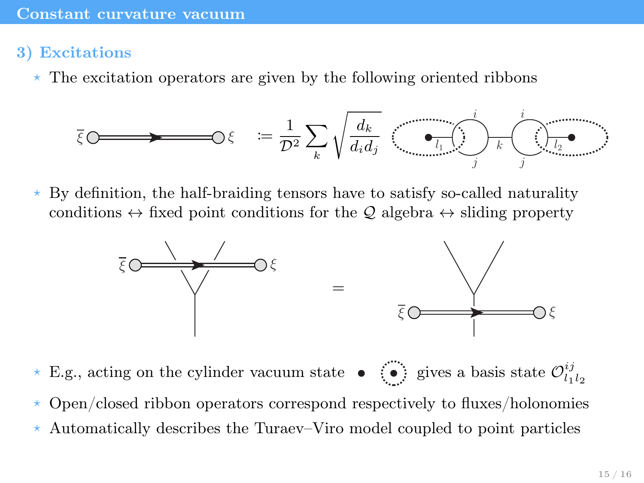## <span id="page-18-0"></span>3) Excitations

 $\star$  The excitation operators are given by the following oriented ribbons

$$
\overline{\xi} \circlearrowleft \longrightarrow \hspace{15mm} \circlearrowleft \xi \quad := \frac{1}{\mathcal{D}^2} \sum_{k} \sqrt{\frac{d_k}{d_i d_j}} \quad \overbrace{\underbrace{\bullet_{l_1} \cdots \bullet_{l_l}}_{j}}^{i} \sqrt{\underbrace{\bullet_{l_2} \bullet}_{j}} \quad \overbrace{\bullet_{l_1} \cdots \bullet_{l_l}}^{i}
$$

 $\star$  By definition, the half-braiding tensors have to satisfy so-called naturality conditions  $\leftrightarrow$  fixed point conditions for the Q algebra  $\leftrightarrow$  sliding property



- \* E.g., acting on the cylinder vacuum state  $\bullet$   $\bullet$  gives a basis state  $\mathcal{O}_{l_1l_2}^{ij}$
- ? Open/closed ribbon operators correspond respectively to fluxes/holonomies
- $\star$  Automatically describes the Turaev–Viro model coupled to point particles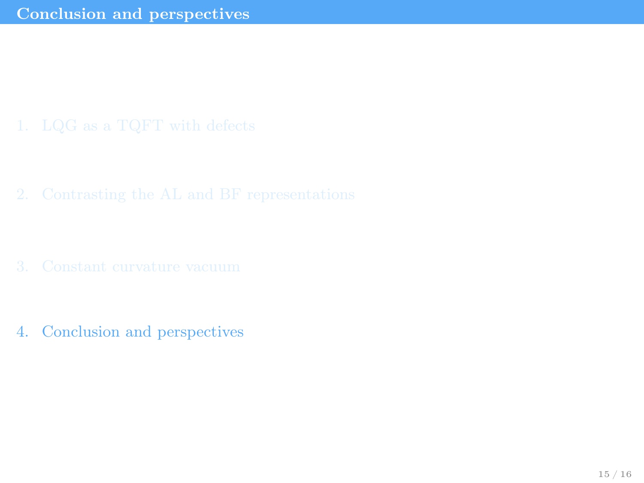<span id="page-19-0"></span>

- 
- 4. [Conclusion and perspectives](#page-19-0)